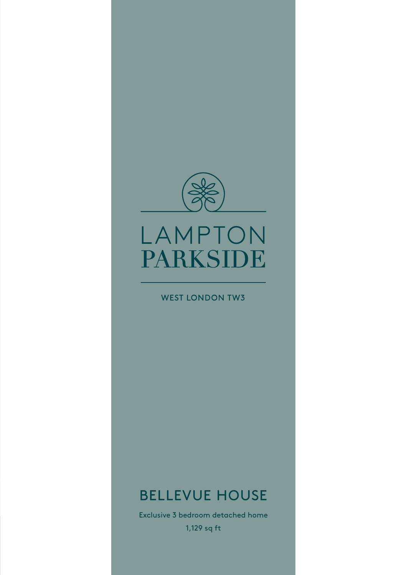

## LAMPTON PARKSIDE

#### **WEST LONDON TW3**

### BELLEVUE HOUSE

1,129 sq ft Exclusive 3 bedroom detached home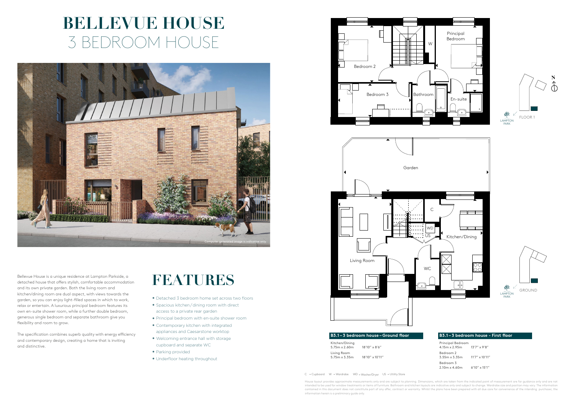Bellevue House is a unique residence at Lampton Parkside, a detached house that offers stylish, comfortable accommodation and its own private garden. Both the living room and kitchen/dining room are dual aspect, with views towards the garden, so you can enjoy light-filled spaces in which to work, relax or entertain. A luxurious principal bedroom features its own en-suite shower room, while a further double bedroom, generous single bedroom and separate bathroom give you flexibility and room to grow.

The specification combines superb quality with energy efficiency and contemporary design, creating a home that is inviting and distinctive.

> House layout provides approximate measurements only and are subject to planning. Dimensions, which are taken from the indicated point of measurement are for guidance only and are not<br>intended to be used for window treatmen contained in this document does not constitute part of any offer, contract or warranty. Whilst the plans have been prepared with all due care for convenience of the intending purchaser, the information herein is a preliminary guide only.



# **BELLEVUE HOUSE** 3 BEDROOM HOUSE

### **FEATURES**

- Detached 3 bedroom home set across two floors
- Spacious kitchen/dining room with direct access to a private rear garden
- Principal bedroom with en-suite shower room
- • Contemporary kitchen with integrated appliances and Caesarstone worktop
- • Welcoming entrance hall with storage cupboard and separate WC
- Parking provided
- Underfloor heating throughout

#### **B3.1 – 3 bedroom house – Ground floor**

Kitchen/Dining 5.75m x 2.60m 18'10" x 8'6" Living Room 5.75m x 3.35m 18'10" x 10'11"





Principal Bedroom 4.15m x 2.95m 13'7" x 9'8" Bedroom 2 3.55m x 3.35m 11'7" x 10'11" Bedroom 3 2.10m x 4.60m 6'10" x 15'1"

C = Cupboard W = Wardrobe WD = Washer/Dryer US = Utility Store